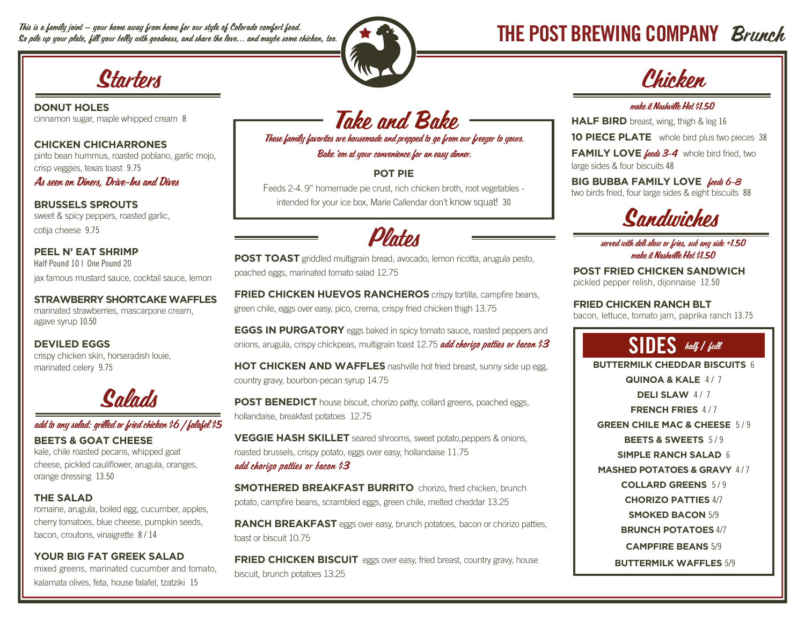This is a family joint — your home away from home for our style of Colorado comfort food. This is a family joint — your home away from home for our style of Colorado comfort food.<br>So pile up your plate, fill your belly with goodness, and share the love... and maybe some chicken, too. The same  $\blacksquare$  with  $\blacksquare$ 



**DONUT HOLES** cinnamon sugar, maple whipped cream 8

**CHICKEN CHICHARRONES** pinto bean hummus, roasted poblano, garlic mojo, crisp veggies, texas toast 9.75

As seen on Diners, Drive-Ins and Dives

**BRUSSELS SPROUTS** sweet & spicy peppers, roasted garlic, cotija cheese 9.75

**PEEL N' EAT SHRIMP** Half Pound 10 | One Pound 20 jax famous mustard sauce, cocktail sauce, lemon

**STRAWBERRY SHORTCAKE WAFFLES**  marinated strawberries, mascarpone cream, agave syrup 10.50

**DEVILED EGGS** crispy chicken skin, horseradish louie, marinated celery 9.75



## add to any salad: grilled or fried chicken \$6 | falafel \$5

**BEETS & GOAT CHEESE** kale, chile roasted pecans, whipped goat cheese, pickled cauliflower, arugula, oranges, orange dressing 13.50

## **THE SALAD**

romaine, arugula, boiled egg, cucumber, apples, cherry tomatoes, blue cheese, pumpkin seeds, bacon, croutons, vinaigrette 8 / 14

## **YOUR BIG FAT GREEK SALAD**

mixed greens, marinated cucumber and tomato, kalamata olives, feta, house falafel, tzatziki 15

Take and Bake These family favorites are housemade and prepped to go from our freezer to yours.

Bake 'em at your convenience for an easy dinner.

## **POT PIE**

Feeds 2-4. 9" homemade pie crust, rich chicken broth, root vegetables intended for your ice box, Marie Callendar don't know squat! 30



**POST TOAST** griddled multigrain bread, avocado, lemon ricotta, arugula pesto, poached eggs, marinated tomato salad 12.75

**FRIED CHICKEN HUEVOS RANCHEROS** crispy tortilla, campfire beans, green chile, eggs over easy, pico, crema, crispy fried chicken thigh 13.75

**EGGS IN PURGATORY** eggs baked in spicy tomato sauce, roasted peppers and onions, arugula, crispy chickpeas, multigrain toast 12.75 add chorizo patties or bacon \$3

**HOT CHICKEN AND WAFFLES** nashville hot fried breast, sunny side up egg, country gravy, bourbon-pecan syrup 14.75

**POST BENEDICT** house biscuit, chorizo patty, collard greens, poached eggs, hollandaise, breakfast potatoes 12.75

**VEGGIE HASH SKILLET** seared shrooms, sweet potato,peppers & onions, roasted brussels, crispy potato, eggs over easy, hollandaise 11.75 add chorizo patties or bacon \$3

**SMOTHERED BREAKFAST BURRITO** chorizo, fried chicken, brunch potato, campfire beans, scrambled eggs, green chile, melted cheddar 13.25

**RANCH BREAKFAST** eggs over easy, brunch potatoes, bacon or chorizo patties, toast or biscuit 10.75

**FRIED CHICKEN BISCUIT** eggs over easy, fried breast, country gravy, house biscuit, brunch potatoes 13.25

### make it Nashville Hot \$1.50

**HALF BIRD** breast, wing, thigh & leg 16

**10 PIECE PLATE** whole bird plus two pieces 38

FAMILY LOVE **feeds 3-4** whole bird fried, two large sides & four biscuits 48

**BIG BUBBA FAMILY LOVE** feeds 6-8 two birds fried, four large sides & eight biscuits 88



### served with deli slaw or fries, sub any side +1.50 make it Nashville Hot \$1.50

**POST FRIED CHICKEN SANDWICH** pickled pepper relish, dijonnaise 12.50

**FRIED CHICKEN RANCH BLT** bacon, lettuce, tomato jam, paprika ranch 13.75

## SIDES half **/** full **BUTTERMILK CHEDDAR BISCUITS** 6 **QUINOA & KALE 4/7 DELI SLAW 4/7 FRENCH FRIES** 4 / 7 **GREEN CHILE MAC & CHEESE** 5 / 9 **BEETS & SWEETS** 5 / 9 **SIMPLE RANCH SALAD** 6 **MASHED POTATOES & GRAVY 4/7 COLLARD GREENS** 5 / 9 **CHORIZO PATTIES** 4/7 **SMOKED BACON** 5/9 **BRUNCH POTATOES** 4/7 **CAMPFIRE BEANS** 5/9  **BUTTERMILK WAFFLES** 5/9